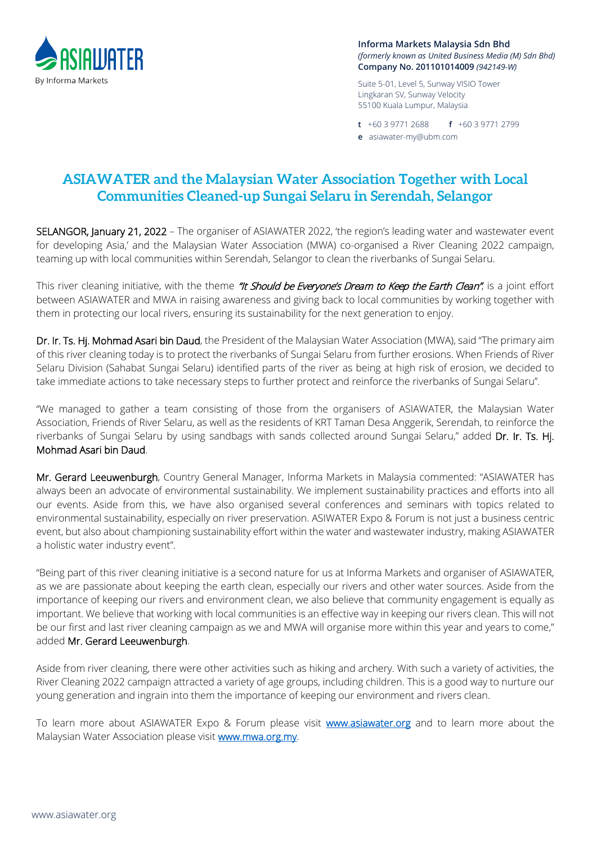

**Informa Markets Malaysia Sdn Bhd** *(formerly known as United Business Media (M) Sdn Bhd)* **Company No. 201101014009** *(942149-W)*

Suite 5-01, Level 5, Sunway VISIO Tower Lingkaran SV, Sunway Velocity 55100 Kuala Lumpur, Malaysia

**t** +60 3 9771 2688 **f** +60 3 9771 2799 **e** asiawater-my@ubm.com

## **ASIAWATER and the Malaysian Water Association Together with Local Communities Cleaned-up Sungai Selaru in Serendah, Selangor**

SELANGOR, January 21, 2022 – The organiser of ASIAWATER 2022, 'the region's leading water and wastewater event for developing Asia,' and the Malaysian Water Association (MWA) co-organised a River Cleaning 2022 campaign, teaming up with local communities within Serendah, Selangor to clean the riverbanks of Sungai Selaru.

This river cleaning initiative, with the theme "It Should be Everyone's Dream to Keep the Earth Clean", is a joint effort between ASIAWATER and MWA in raising awareness and giving back to local communities by working together with them in protecting our local rivers, ensuring its sustainability for the next generation to enjoy.

Dr. Ir. Ts. Hj. Mohmad Asari bin Daud, the President of the Malaysian Water Association (MWA), said "The primary aim of this river cleaning today is to protect the riverbanks of Sungai Selaru from further erosions. When Friends of River Selaru Division (Sahabat Sungai Selaru) identified parts of the river as being at high risk of erosion, we decided to take immediate actions to take necessary steps to further protect and reinforce the riverbanks of Sungai Selaru".

"We managed to gather a team consisting of those from the organisers of ASIAWATER, the Malaysian Water Association, Friends of River Selaru, as well as the residents of KRT Taman Desa Anggerik, Serendah, to reinforce the riverbanks of Sungai Selaru by using sandbags with sands collected around Sungai Selaru," added Dr. Ir. Ts. Hj. Mohmad Asari bin Daud.

Mr. Gerard Leeuwenburgh, Country General Manager, Informa Markets in Malaysia commented: "ASIAWATER has always been an advocate of environmental sustainability. We implement sustainability practices and efforts into all our events. Aside from this, we have also organised several conferences and seminars with topics related to environmental sustainability, especially on river preservation. ASIWATER Expo & Forum is not just a business centric event, but also about championing sustainability effort within the water and wastewater industry, making ASIAWATER a holistic water industry event".

"Being part of this river cleaning initiative is a second nature for us at Informa Markets and organiser of ASIAWATER, as we are passionate about keeping the earth clean, especially our rivers and other water sources. Aside from the importance of keeping our rivers and environment clean, we also believe that community engagement is equally as important. We believe that working with local communities is an effective way in keeping our rivers clean. This will not be our first and last river cleaning campaign as we and MWA will organise more within this year and years to come," added Mr. Gerard Leeuwenburgh.

Aside from river cleaning, there were other activities such as hiking and archery. With such a variety of activities, the River Cleaning 2022 campaign attracted a variety of age groups, including children. This is a good way to nurture our young generation and ingrain into them the importance of keeping our environment and rivers clean.

To learn more about ASIAWATER Expo & Forum please visit **www.asiawater.org** and to learn more about the Malaysian Water Association please visit [www.mwa.org.my.](https://www.mwa.org.my/home/)